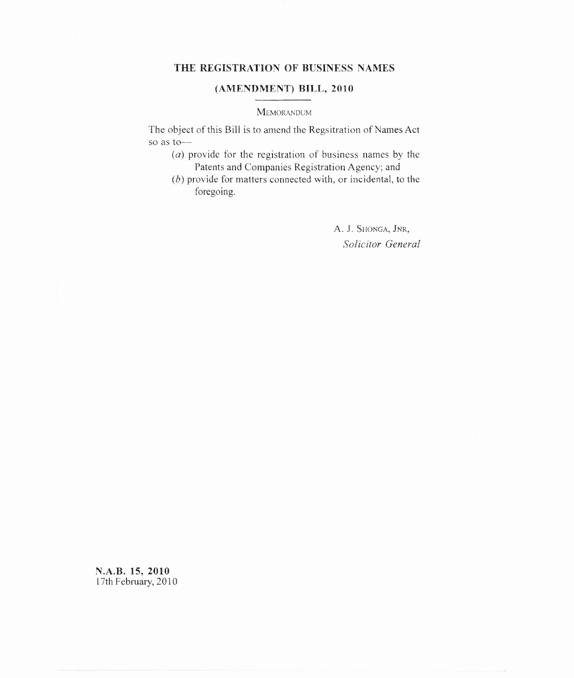## **THE REGISTRATION OF BUSINESS NAMES**

## **(AMENDMENT) BILL, 2010**

#### **MEMORANDUM**

The object of this Bill is to amend the Regsitration of Names Act so as to—

- $(a)$  provide for the registration of business names by the Patents and Companies Registration Agency; and
- $(b)$  provide for matters connected with, or incidental, to the foregoing.

A. J. SHONGA, JNR, *Solicitor General*

**N.A.B. 15, 2010** 17th February, 2010